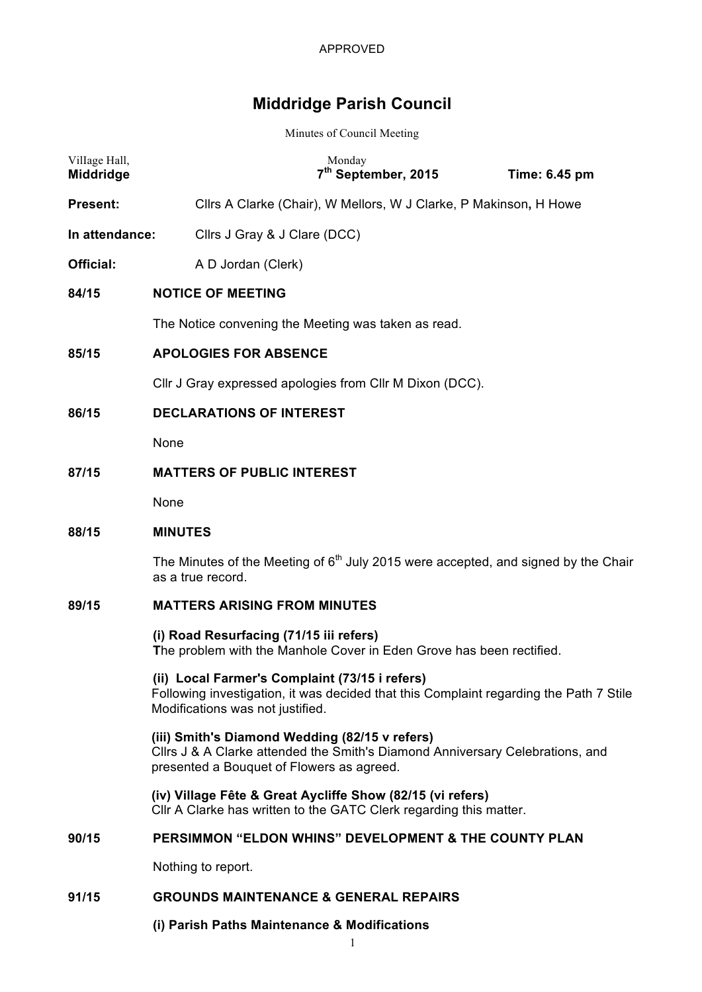# **Middridge Parish Council**

Minutes of Council Meeting

| Village Hall,<br>Middridge | Monday<br>7 <sup>th</sup> September, 2015<br>Time: 6.45 pm                                                                                                                   |
|----------------------------|------------------------------------------------------------------------------------------------------------------------------------------------------------------------------|
| <b>Present:</b>            | Cllrs A Clarke (Chair), W Mellors, W J Clarke, P Makinson, H Howe                                                                                                            |
| In attendance:             | Cllrs J Gray & J Clare (DCC)                                                                                                                                                 |
| <b>Official:</b>           | A D Jordan (Clerk)                                                                                                                                                           |
| 84/15                      | <b>NOTICE OF MEETING</b>                                                                                                                                                     |
|                            | The Notice convening the Meeting was taken as read.                                                                                                                          |
| 85/15                      | <b>APOLOGIES FOR ABSENCE</b>                                                                                                                                                 |
|                            | Cllr J Gray expressed apologies from Cllr M Dixon (DCC).                                                                                                                     |
| 86/15                      | <b>DECLARATIONS OF INTEREST</b>                                                                                                                                              |
|                            | None                                                                                                                                                                         |
| 87/15                      | <b>MATTERS OF PUBLIC INTEREST</b>                                                                                                                                            |
|                            | None                                                                                                                                                                         |
| 88/15                      | <b>MINUTES</b>                                                                                                                                                               |
|                            | The Minutes of the Meeting of $6th$ July 2015 were accepted, and signed by the Chair<br>as a true record.                                                                    |
| 89/15                      | <b>MATTERS ARISING FROM MINUTES</b>                                                                                                                                          |
|                            | (i) Road Resurfacing (71/15 iii refers)<br>The problem with the Manhole Cover in Eden Grove has been rectified.                                                              |
|                            | (ii) Local Farmer's Complaint (73/15 i refers)<br>Following investigation, it was decided that this Complaint regarding the Path 7 Stile<br>Modifications was not justified. |
|                            | (iii) Smith's Diamond Wedding (82/15 v refers)<br>Cllrs J & A Clarke attended the Smith's Diamond Anniversary Celebrations, and<br>presented a Bouquet of Flowers as agreed. |
|                            | (iv) Village Fête & Great Aycliffe Show (82/15 (vi refers)<br>CIIr A Clarke has written to the GATC Clerk regarding this matter.                                             |
| 90/15                      | PERSIMMON "ELDON WHINS" DEVELOPMENT & THE COUNTY PLAN                                                                                                                        |
|                            | Nothing to report.                                                                                                                                                           |
| 91/15                      | <b>GROUNDS MAINTENANCE &amp; GENERAL REPAIRS</b>                                                                                                                             |

# **(i) Parish Paths Maintenance & Modifications**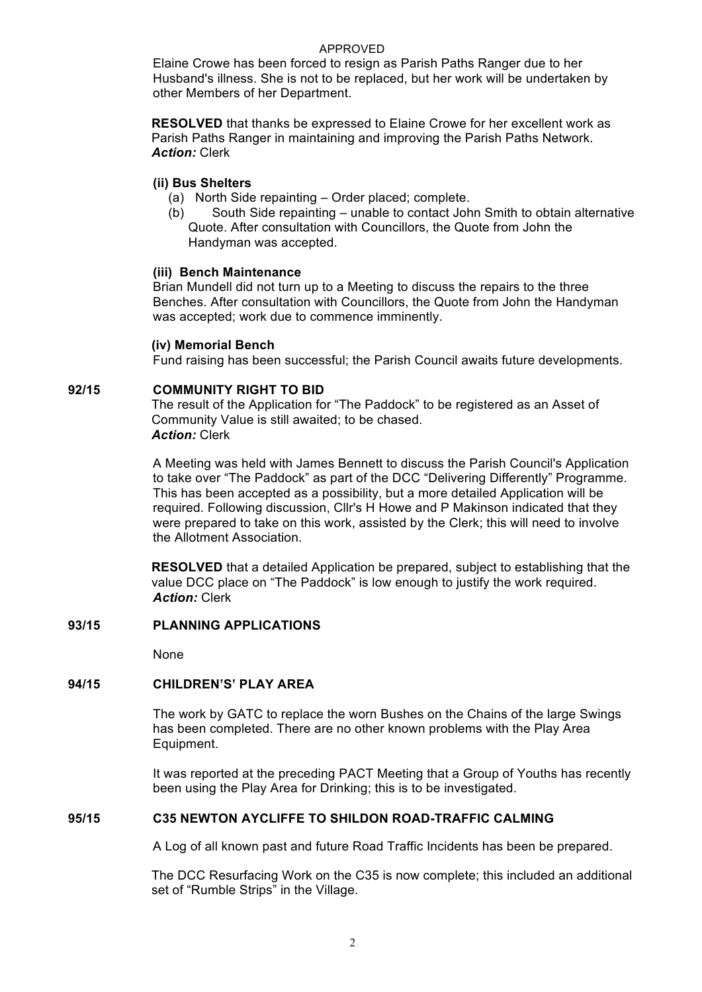#### APPROVED

Elaine Crowe has been forced to resign as Parish Paths Ranger due to her Husband's illness. She is not to be replaced, but her work will be undertaken by other Members of her Department.

**RESOLVED** that thanks be expressed to Elaine Crowe for her excellent work as Parish Paths Ranger in maintaining and improving the Parish Paths Network. *Action:* Clerk

## **(ii) Bus Shelters**

(a) North Side repainting – Order placed; complete.

(b) South Side repainting – unable to contact John Smith to obtain alternative Quote. After consultation with Councillors, the Quote from John the Handyman was accepted.

## **(iii) Bench Maintenance**

Brian Mundell did not turn up to a Meeting to discuss the repairs to the three Benches. After consultation with Councillors, the Quote from John the Handyman was accepted; work due to commence imminently.

## **(iv) Memorial Bench**

Fund raising has been successful; the Parish Council awaits future developments.

## **92/15 COMMUNITY RIGHT TO BID**

The result of the Application for "The Paddock" to be registered as an Asset of Community Value is still awaited; to be chased. *Action:* Clerk

A Meeting was held with James Bennett to discuss the Parish Council's Application to take over "The Paddock" as part of the DCC "Delivering Differently" Programme. This has been accepted as a possibility, but a more detailed Application will be required. Following discussion, Cllr's H Howe and P Makinson indicated that they were prepared to take on this work, assisted by the Clerk; this will need to involve the Allotment Association.

**RESOLVED** that a detailed Application be prepared, subject to establishing that the value DCC place on "The Paddock" is low enough to justify the work required. *Action:* Clerk

## **93/15 PLANNING APPLICATIONS**

None

## **94/15 CHILDREN'S' PLAY AREA**

The work by GATC to replace the worn Bushes on the Chains of the large Swings has been completed. There are no other known problems with the Play Area Equipment.

It was reported at the preceding PACT Meeting that a Group of Youths has recently been using the Play Area for Drinking; this is to be investigated.

## **95/15 C35 NEWTON AYCLIFFE TO SHILDON ROAD-TRAFFIC CALMING**

A Log of all known past and future Road Traffic Incidents has been be prepared.

The DCC Resurfacing Work on the C35 is now complete; this included an additional set of "Rumble Strips" in the Village.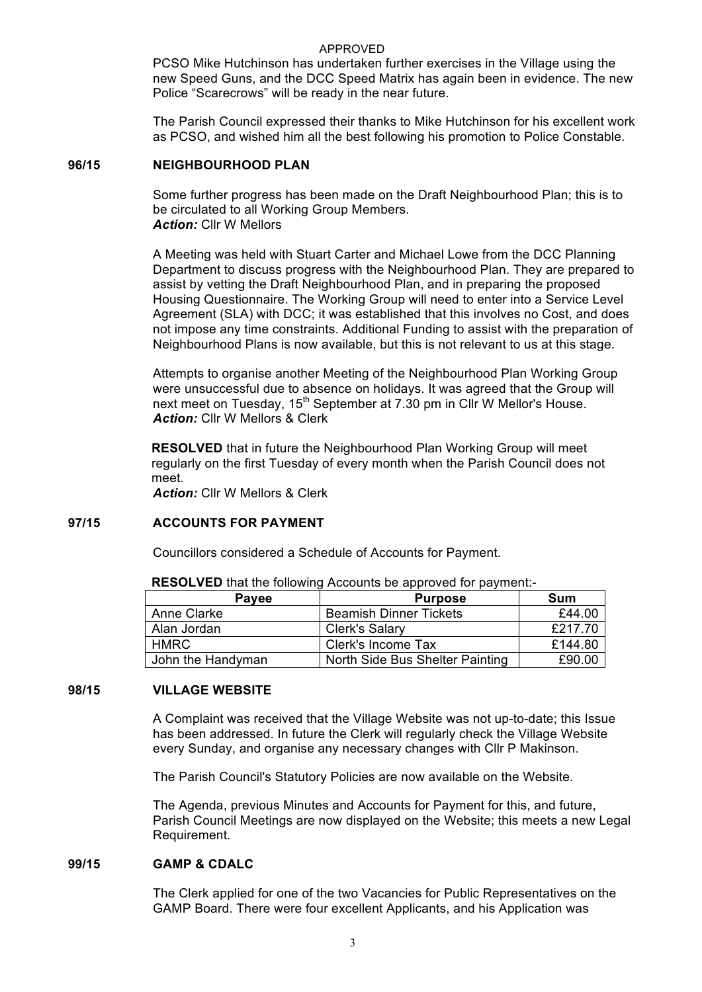#### APPROVED

PCSO Mike Hutchinson has undertaken further exercises in the Village using the new Speed Guns, and the DCC Speed Matrix has again been in evidence. The new Police "Scarecrows" will be ready in the near future.

The Parish Council expressed their thanks to Mike Hutchinson for his excellent work as PCSO, and wished him all the best following his promotion to Police Constable.

#### **96/15 NEIGHBOURHOOD PLAN**

Some further progress has been made on the Draft Neighbourhood Plan; this is to be circulated to all Working Group Members. *Action:* Cllr W Mellors

A Meeting was held with Stuart Carter and Michael Lowe from the DCC Planning Department to discuss progress with the Neighbourhood Plan. They are prepared to assist by vetting the Draft Neighbourhood Plan, and in preparing the proposed Housing Questionnaire. The Working Group will need to enter into a Service Level Agreement (SLA) with DCC; it was established that this involves no Cost, and does not impose any time constraints. Additional Funding to assist with the preparation of Neighbourhood Plans is now available, but this is not relevant to us at this stage.

Attempts to organise another Meeting of the Neighbourhood Plan Working Group were unsuccessful due to absence on holidays. It was agreed that the Group will next meet on Tuesday,  $15<sup>th</sup>$  September at 7.30 pm in Cllr W Mellor's House. *Action:* Cllr W Mellors & Clerk

**RESOLVED** that in future the Neighbourhood Plan Working Group will meet regularly on the first Tuesday of every month when the Parish Council does not meet.

*Action:* Cllr W Mellors & Clerk

#### **97/15 ACCOUNTS FOR PAYMENT**

Councillors considered a Schedule of Accounts for Payment.

| <b>Pavee</b>      | <b>Purpose</b>                  | Sum     |
|-------------------|---------------------------------|---------|
| Anne Clarke       | <b>Beamish Dinner Tickets</b>   | £44.00  |
| Alan Jordan       | <b>Clerk's Salary</b>           | £217.70 |
| HMRC.             | Clerk's Income Tax              | £144.80 |
| John the Handyman | North Side Bus Shelter Painting | £90.00  |

**RESOLVED** that the following Accounts be approved for payment:-

#### **98/15 VILLAGE WEBSITE**

A Complaint was received that the Village Website was not up-to-date; this Issue has been addressed. In future the Clerk will regularly check the Village Website every Sunday, and organise any necessary changes with Cllr P Makinson.

The Parish Council's Statutory Policies are now available on the Website.

The Agenda, previous Minutes and Accounts for Payment for this, and future, Parish Council Meetings are now displayed on the Website; this meets a new Legal Requirement.

#### **99/15 GAMP & CDALC**

The Clerk applied for one of the two Vacancies for Public Representatives on the GAMP Board. There were four excellent Applicants, and his Application was